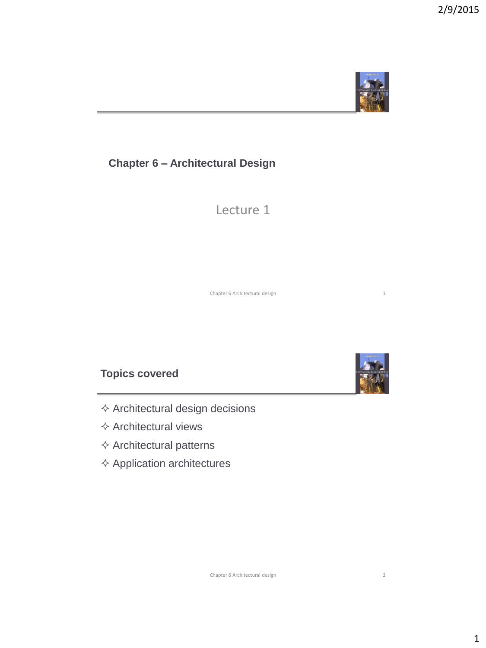

# **Chapter 6 – Architectural Design**

Lecture 1

Chapter 6 Architectural design 1

## **Topics covered**

- $\diamond$  Architectural design decisions
- $\Leftrightarrow$  Architectural views
- $\diamond$  Architectural patterns
- $\Diamond$  Application architectures

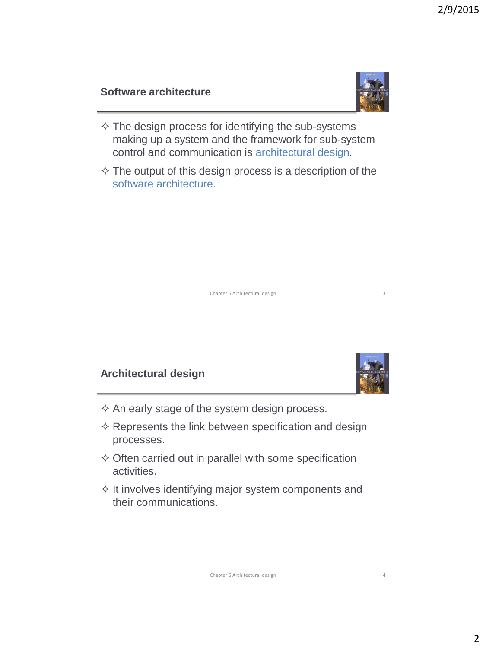## **Software architecture**



- $\Diamond$  The design process for identifying the sub-systems making up a system and the framework for sub-system control and communication is architectural design*.*
- $\Diamond$  The output of this design process is a description of the software architecture.

Chapter 6 Architectural design 3

## **Architectural design**



- $\Diamond$  An early stage of the system design process.
- $\Diamond$  Represents the link between specification and design processes.
- $\diamond$  Often carried out in parallel with some specification activities.
- $\Diamond$  It involves identifying major system components and their communications.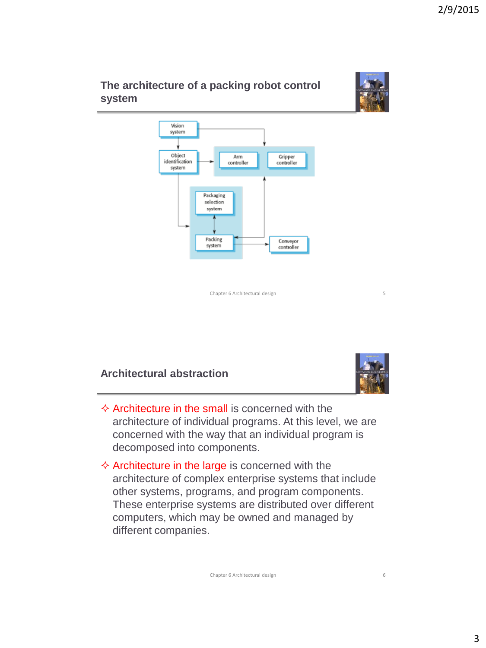# **The architecture of a packing robot control system**



Chapter 6 Architectural design 5

# **Architectural abstraction**



- $\Diamond$  Architecture in the small is concerned with the architecture of individual programs. At this level, we are concerned with the way that an individual program is decomposed into components.
- $\Diamond$  Architecture in the large is concerned with the architecture of complex enterprise systems that include other systems, programs, and program components. These enterprise systems are distributed over different computers, which may be owned and managed by different companies.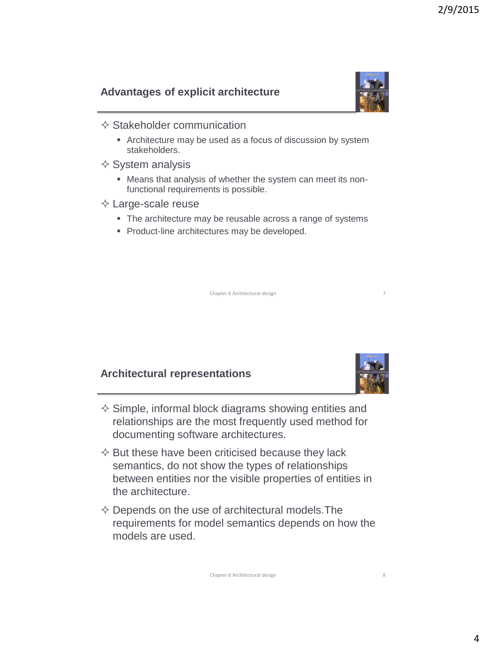# **Advantages of explicit architecture**



- $\Diamond$  Stakeholder communication
	- Architecture may be used as a focus of discussion by system stakeholders.
- $\diamond$  System analysis
	- Means that analysis of whether the system can meet its nonfunctional requirements is possible.
- $\Diamond$  Large-scale reuse
	- The architecture may be reusable across a range of systems
	- **Product-line architectures may be developed.**

Chapter 6 Architectural design 7

### **Architectural representations**



- $\diamond$  Simple, informal block diagrams showing entities and relationships are the most frequently used method for documenting software architectures.
- $\Diamond$  But these have been criticised because they lack semantics, do not show the types of relationships between entities nor the visible properties of entities in the architecture.
- $\diamond$  Depends on the use of architectural models. The requirements for model semantics depends on how the models are used.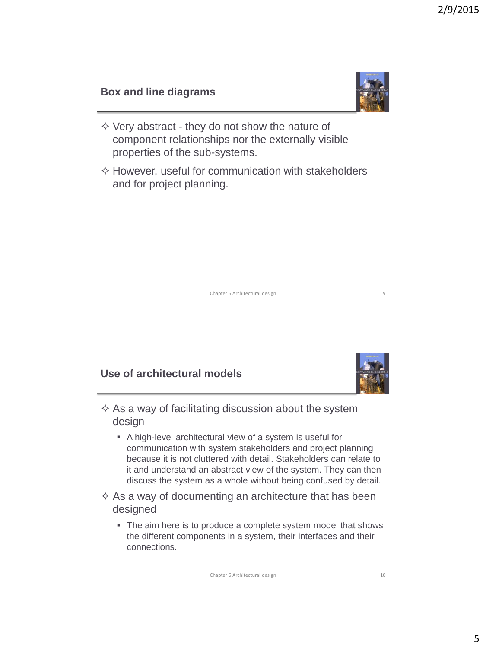## **Box and line diagrams**



- $\diamond$  Very abstract they do not show the nature of component relationships nor the externally visible properties of the sub-systems.
- $\Diamond$  However, useful for communication with stakeholders and for project planning.

Chapter 6 Architectural design 9

# **Use of architectural models**



- $\Diamond$  As a way of facilitating discussion about the system design
	- A high-level architectural view of a system is useful for communication with system stakeholders and project planning because it is not cluttered with detail. Stakeholders can relate to it and understand an abstract view of the system. They can then discuss the system as a whole without being confused by detail.
- $\Diamond$  As a way of documenting an architecture that has been designed
	- The aim here is to produce a complete system model that shows the different components in a system, their interfaces and their connections.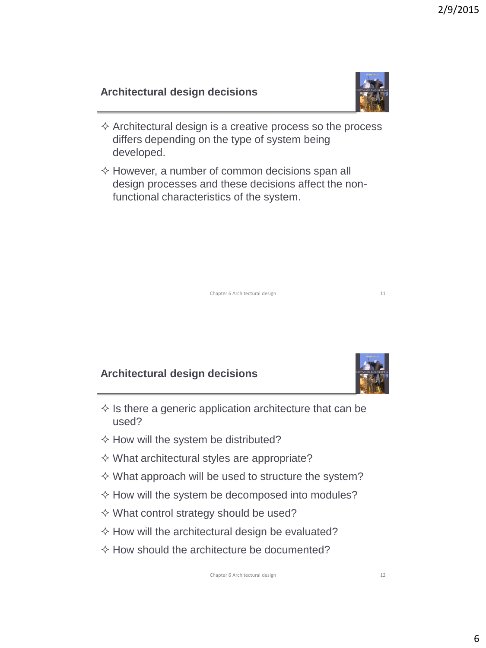# **Architectural design decisions**

- $\Diamond$  Architectural design is a creative process so the process differs depending on the type of system being developed.
- $\Diamond$  However, a number of common decisions span all design processes and these decisions affect the nonfunctional characteristics of the system.

Chapter 6 Architectural design 11

# **Architectural design decisions**

- $\Diamond$  Is there a generic application architecture that can be used?
- $\Diamond$  How will the system be distributed?
- $\diamond$  What architectural styles are appropriate?
- $\Diamond$  What approach will be used to structure the system?
- $\Diamond$  How will the system be decomposed into modules?
- $\Diamond$  What control strategy should be used?
- $\Diamond$  How will the architectural design be evaluated?
- $\Diamond$  How should the architecture be documented?





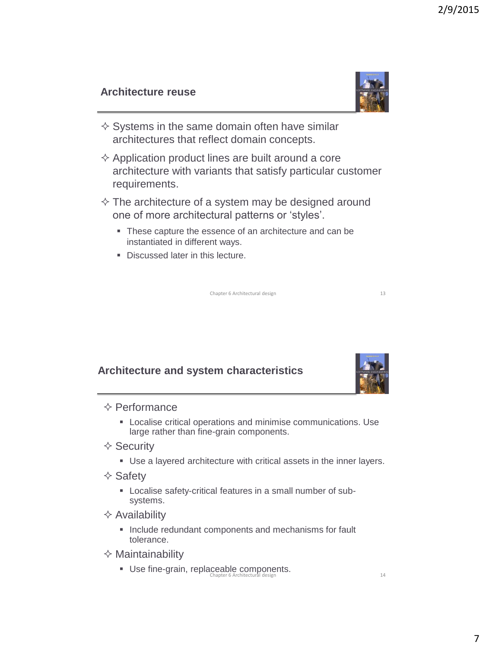# **Architecture reuse**

- $\diamond$  Systems in the same domain often have similar architectures that reflect domain concepts.
- $\Diamond$  Application product lines are built around a core architecture with variants that satisfy particular customer requirements.
- $\Diamond$  The architecture of a system may be designed around one of more architectural patterns or 'styles'.
	- These capture the essence of an architecture and can be instantiated in different ways.
	- Discussed later in this lecture.

Chapter 6 Architectural design 13

# **Architecture and system characteristics**

#### $\Diamond$  Performance

- Localise critical operations and minimise communications. Use large rather than fine-grain components.
- $\diamond$  Security
	- Use a layered architecture with critical assets in the inner layers.
- $\diamond$  Safety
	- Localise safety-critical features in a small number of subsystems.
- $\Diamond$  Availability
	- **Include redundant components and mechanisms for fault** tolerance.
- $\Leftrightarrow$  Maintainability
	- Use fine-grain, replaceable components. Chapter 6 Architectural design 14



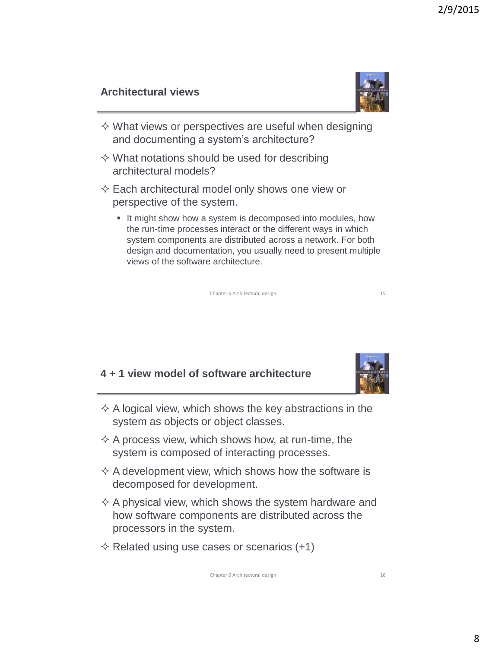2/9/2015

# **Architectural views**



- $\diamond$  What views or perspectives are useful when designing and documenting a system's architecture?
- $\diamond$  What notations should be used for describing architectural models?
- $\diamond$  Each architectural model only shows one view or perspective of the system.
	- It might show how a system is decomposed into modules, how the run-time processes interact or the different ways in which system components are distributed across a network. For both design and documentation, you usually need to present multiple views of the software architecture.

Chapter 6 Architectural design 15

#### **4 + 1 view model of software architecture**



- $\Diamond$  A logical view, which shows the key abstractions in the system as objects or object classes.
- $\Diamond$  A process view, which shows how, at run-time, the system is composed of interacting processes.
- $\Diamond$  A development view, which shows how the software is decomposed for development.
- $\Diamond$  A physical view, which shows the system hardware and how software components are distributed across the processors in the system.
- $\diamond$  Related using use cases or scenarios (+1)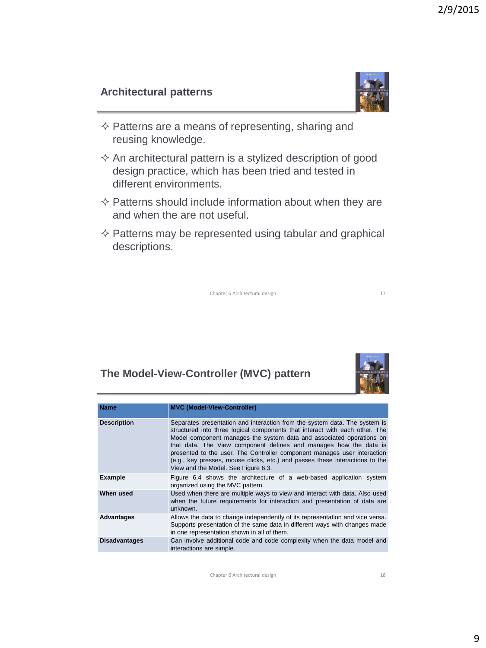# **Architectural patterns**



- $\diamond$  Patterns are a means of representing, sharing and reusing knowledge.
- $\Diamond$  An architectural pattern is a stylized description of good design practice, which has been tried and tested in different environments.
- $\Diamond$  Patterns should include information about when they are and when the are not useful.
- $\diamond$  Patterns may be represented using tabular and graphical descriptions.

Chapter 6 Architectural design 17

# **The Model-View-Controller (MVC) pattern**



| <b>Name</b>          | <b>MVC (Model-View-Controller)</b>                                                                                                                                                                                                                                                                                                                                                                                                                                                                        |
|----------------------|-----------------------------------------------------------------------------------------------------------------------------------------------------------------------------------------------------------------------------------------------------------------------------------------------------------------------------------------------------------------------------------------------------------------------------------------------------------------------------------------------------------|
| <b>Description</b>   | Separates presentation and interaction from the system data. The system is<br>structured into three logical components that interact with each other. The<br>Model component manages the system data and associated operations on<br>that data. The View component defines and manages how the data is<br>presented to the user. The Controller component manages user interaction<br>(e.g., key presses, mouse clicks, etc.) and passes these interactions to the<br>View and the Model. See Figure 6.3. |
| <b>Example</b>       | Figure 6.4 shows the architecture of a web-based application system<br>organized using the MVC pattern.                                                                                                                                                                                                                                                                                                                                                                                                   |
| When used            | Used when there are multiple ways to view and interact with data. Also used<br>when the future requirements for interaction and presentation of data are<br>unknown.                                                                                                                                                                                                                                                                                                                                      |
| Advantages           | Allows the data to change independently of its representation and vice versa.<br>Supports presentation of the same data in different ways with changes made<br>in one representation shown in all of them.                                                                                                                                                                                                                                                                                                |
| <b>Disadvantages</b> | Can involve additional code and code complexity when the data model and<br>interactions are simple.                                                                                                                                                                                                                                                                                                                                                                                                       |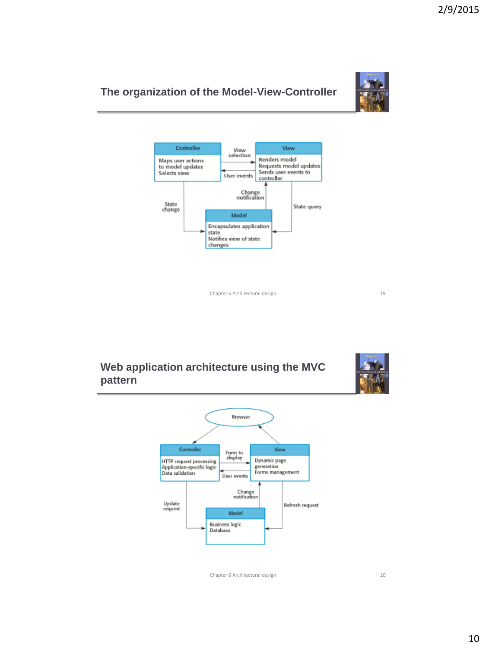## **The organization of the Model-View-Controller**





Chapter 6 Architectural design 19

## **Web application architecture using the MVC pattern**



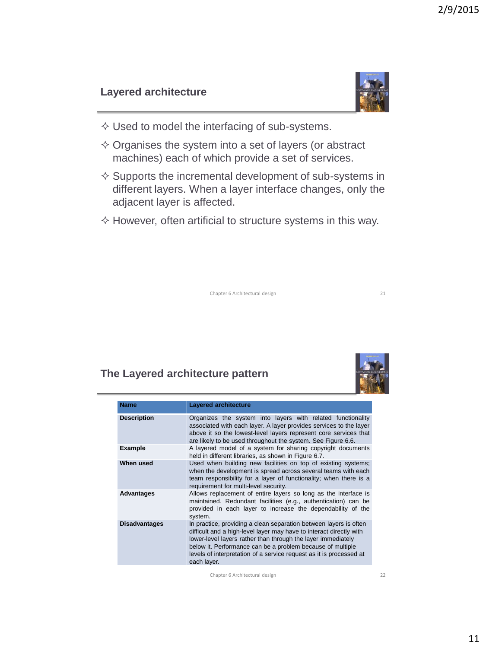## **Layered architecture**



- $\diamond$  Used to model the interfacing of sub-systems.
- $\diamond$  Organises the system into a set of layers (or abstract machines) each of which provide a set of services.
- $\diamond$  Supports the incremental development of sub-systems in different layers. When a layer interface changes, only the adjacent layer is affected.
- $\Diamond$  However, often artificial to structure systems in this way.

Chapter 6 Architectural design 21

# **The Layered architecture pattern**

| <b>Name</b>          | <b>Layered architecture</b>                                                                                                                                                                                                                                                                                                                                  |
|----------------------|--------------------------------------------------------------------------------------------------------------------------------------------------------------------------------------------------------------------------------------------------------------------------------------------------------------------------------------------------------------|
| <b>Description</b>   | Organizes the system into layers with related functionality<br>associated with each layer. A layer provides services to the layer<br>above it so the lowest-level layers represent core services that<br>are likely to be used throughout the system. See Figure 6.6.                                                                                        |
| <b>Example</b>       | A layered model of a system for sharing copyright documents<br>held in different libraries, as shown in Figure 6.7.                                                                                                                                                                                                                                          |
| When used            | Used when building new facilities on top of existing systems;<br>when the development is spread across several teams with each<br>team responsibility for a layer of functionality; when there is a<br>requirement for multi-level security.                                                                                                                 |
| <b>Advantages</b>    | Allows replacement of entire layers so long as the interface is<br>maintained. Redundant facilities (e.g., authentication) can be<br>provided in each layer to increase the dependability of the<br>system.                                                                                                                                                  |
| <b>Disadvantages</b> | In practice, providing a clean separation between layers is often<br>difficult and a high-level layer may have to interact directly with<br>lower-level layers rather than through the layer immediately<br>below it. Performance can be a problem because of multiple<br>levels of interpretation of a service request as it is processed at<br>each layer. |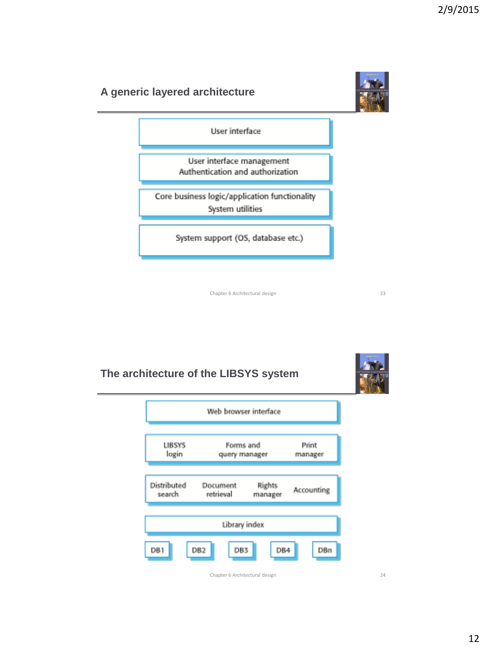

Chapter 6 Architectural design 23

**The architecture of the LIBSYS system**

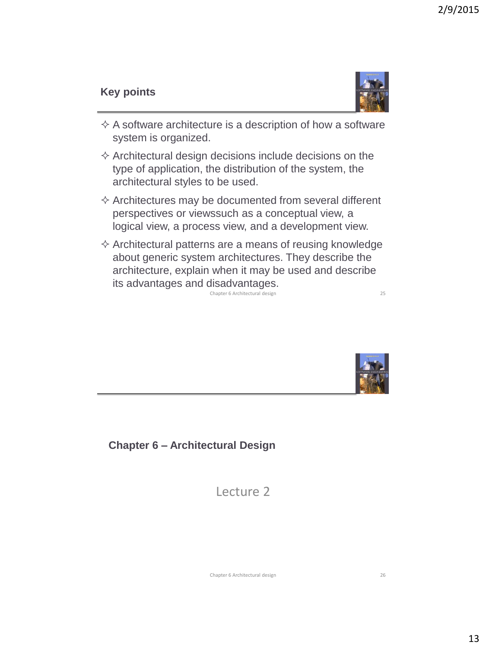## **Key points**



- $\Diamond$  A software architecture is a description of how a software system is organized.
- $\diamond$  Architectural design decisions include decisions on the type of application, the distribution of the system, the architectural styles to be used.
- $\Diamond$  Architectures may be documented from several different perspectives or viewssuch as a conceptual view, a logical view, a process view, and a development view.
- $\Diamond$  Architectural patterns are a means of reusing knowledge about generic system architectures. They describe the architecture, explain when it may be used and describe its advantages and disadvantages. Chapter 6 Architectural design 25



**Chapter 6 – Architectural Design**

Lecture 2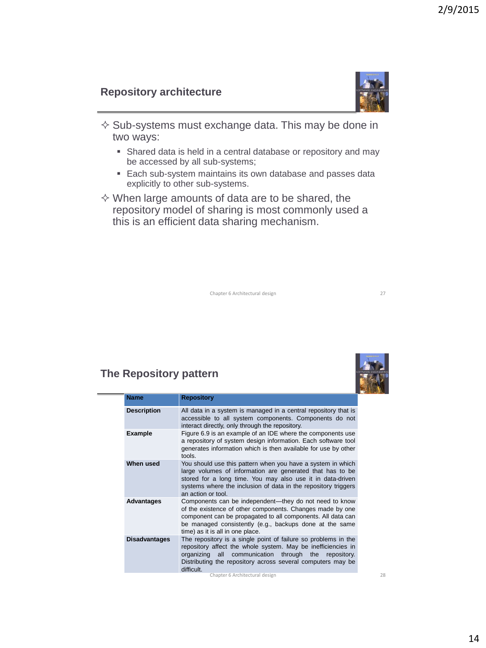### **Repository architecture**



- $\diamond$  Sub-systems must exchange data. This may be done in two ways:
	- Shared data is held in a central database or repository and may be accessed by all sub-systems;
	- Each sub-system maintains its own database and passes data explicitly to other sub-systems.
- $\diamond$  When large amounts of data are to be shared, the repository model of sharing is most commonly used a this is an efficient data sharing mechanism.



| <b>Repository</b>                                                                                                                                                                                                                                                                 |
|-----------------------------------------------------------------------------------------------------------------------------------------------------------------------------------------------------------------------------------------------------------------------------------|
| All data in a system is managed in a central repository that is<br>accessible to all system components. Components do not<br>interact directly, only through the repository.                                                                                                      |
| Figure 6.9 is an example of an IDE where the components use<br>a repository of system design information. Each software tool<br>generates information which is then available for use by other<br>tools.                                                                          |
| You should use this pattern when you have a system in which<br>large volumes of information are generated that has to be<br>stored for a long time. You may also use it in data-driven<br>systems where the inclusion of data in the repository triggers<br>an action or tool.    |
| Components can be independent—they do not need to know<br>of the existence of other components. Changes made by one<br>component can be propagated to all components. All data can<br>be managed consistently (e.g., backups done at the same<br>time) as it is all in one place. |
| The repository is a single point of failure so problems in the<br>repository affect the whole system. May be inefficiencies in<br>communication through the<br>organizing all<br>repository.<br>Distributing the repository across several computers may be<br>difficult.         |
|                                                                                                                                                                                                                                                                                   |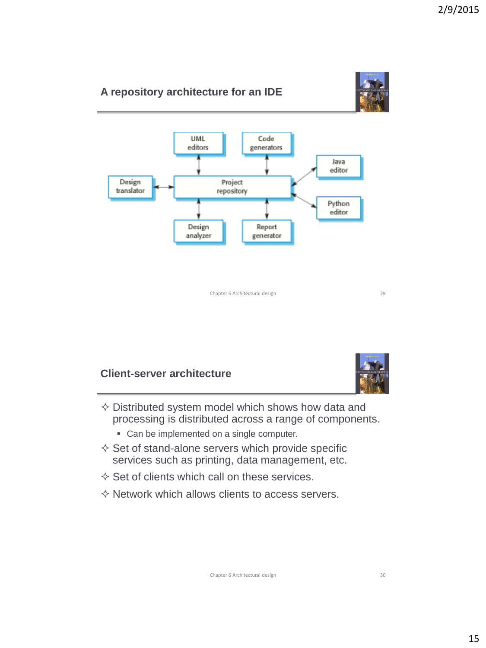

## **Client-server architecture**



- $\diamond$  Distributed system model which shows how data and processing is distributed across a range of components.
	- Can be implemented on a single computer.
- $\diamond$  Set of stand-alone servers which provide specific services such as printing, data management, etc.
- $\diamond$  Set of clients which call on these services.
- $\diamond$  Network which allows clients to access servers.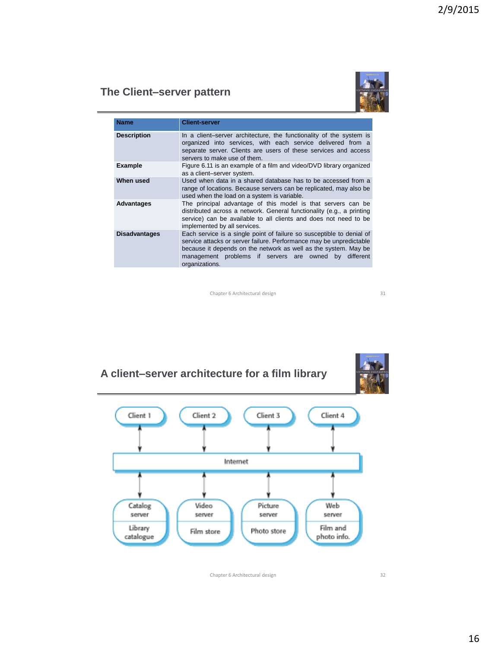## **The Client–server pattern**



| <b>Name</b>          | <b>Client-server</b>                                                                                                                                                                                                                                                                       |
|----------------------|--------------------------------------------------------------------------------------------------------------------------------------------------------------------------------------------------------------------------------------------------------------------------------------------|
| <b>Description</b>   | In a client-server architecture, the functionality of the system is<br>organized into services, with each service delivered from a<br>separate server. Clients are users of these services and access<br>servers to make use of them.                                                      |
| Example              | Figure 6.11 is an example of a film and video/DVD library organized<br>as a client-server system.                                                                                                                                                                                          |
| When used            | Used when data in a shared database has to be accessed from a<br>range of locations. Because servers can be replicated, may also be<br>used when the load on a system is variable.                                                                                                         |
| <b>Advantages</b>    | The principal advantage of this model is that servers can be<br>distributed across a network. General functionality (e.g., a printing<br>service) can be available to all clients and does not need to be<br>implemented by all services.                                                  |
| <b>Disadvantages</b> | Each service is a single point of failure so susceptible to denial of<br>service attacks or server failure. Performance may be unpredictable<br>because it depends on the network as well as the system. May be<br>management problems if servers are owned by different<br>organizations. |

Chapter 6 Architectural design 31

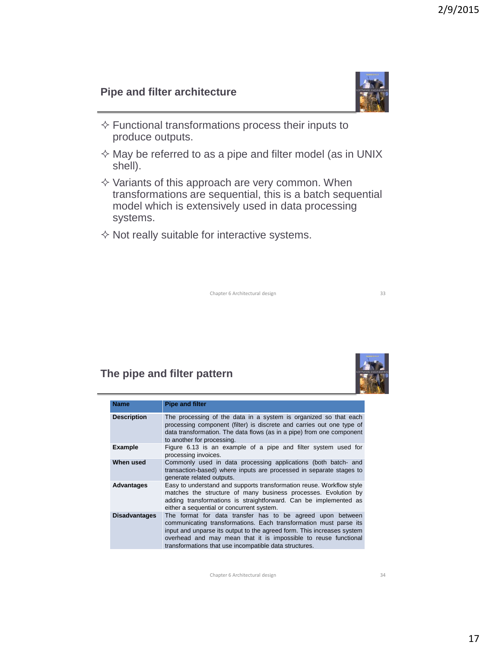## **Pipe and filter architecture**

- $\Diamond$  Functional transformations process their inputs to produce outputs.
- $\Diamond$  May be referred to as a pipe and filter model (as in UNIX shell).
- $\diamond$  Variants of this approach are very common. When transformations are sequential, this is a batch sequential model which is extensively used in data processing systems.
- $\Diamond$  Not really suitable for interactive systems.

Chapter 6 Architectural design 33

## **The pipe and filter pattern**

| <b>Name</b>          | <b>Pipe and filter</b>                                                                                                                                                                                                                                                                                                                 |
|----------------------|----------------------------------------------------------------------------------------------------------------------------------------------------------------------------------------------------------------------------------------------------------------------------------------------------------------------------------------|
| <b>Description</b>   | The processing of the data in a system is organized so that each<br>processing component (filter) is discrete and carries out one type of<br>data transformation. The data flows (as in a pipe) from one component<br>to another for processing.                                                                                       |
| Example              | Figure 6.13 is an example of a pipe and filter system used for<br>processing invoices.                                                                                                                                                                                                                                                 |
| When used            | Commonly used in data processing applications (both batch- and<br>transaction-based) where inputs are processed in separate stages to<br>generate related outputs.                                                                                                                                                                     |
| <b>Advantages</b>    | Easy to understand and supports transformation reuse. Workflow style<br>matches the structure of many business processes. Evolution by<br>adding transformations is straightforward. Can be implemented as<br>either a sequential or concurrent system.                                                                                |
| <b>Disadvantages</b> | The format for data transfer has to be agreed upon between<br>communicating transformations. Each transformation must parse its<br>input and unparse its output to the agreed form. This increases system<br>overhead and may mean that it is impossible to reuse functional<br>transformations that use incompatible data structures. |

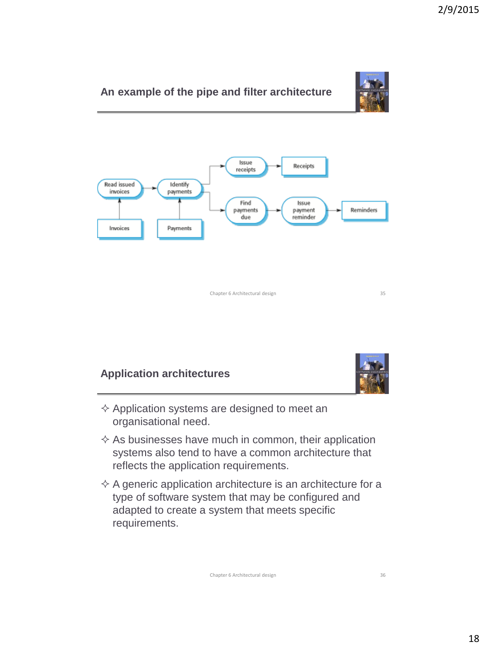

# **Application architectures**



- $\diamond$  Application systems are designed to meet an organisational need.
- $\Diamond$  As businesses have much in common, their application systems also tend to have a common architecture that reflects the application requirements.
- $\Diamond$  A generic application architecture is an architecture for a type of software system that may be configured and adapted to create a system that meets specific requirements.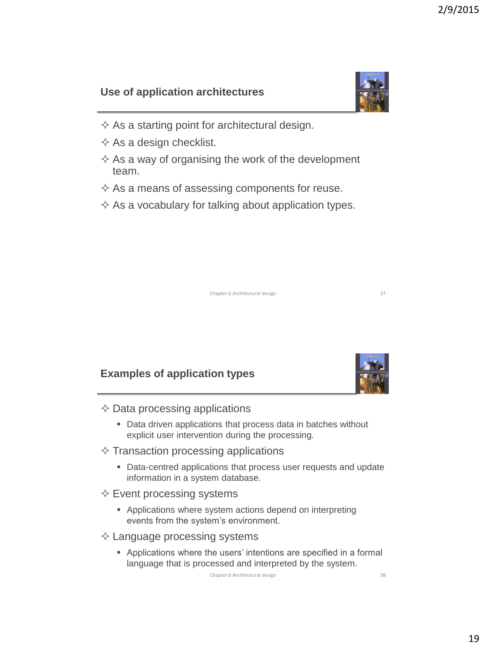# **Use of application architectures**

- $\Diamond$  As a starting point for architectural design.
- $\diamond$  As a design checklist.
- $\Diamond$  As a way of organising the work of the development team.
- $\Diamond$  As a means of assessing components for reuse.
- $\Diamond$  As a vocabulary for talking about application types.

Chapter 6 Architectural design 37

# **Examples of application types**

- $\Diamond$  Data processing applications
	- Data driven applications that process data in batches without explicit user intervention during the processing.
- $\Diamond$  Transaction processing applications
	- **Data-centred applications that process user requests and update** information in a system database.
- $\Leftrightarrow$  Event processing systems
	- Applications where system actions depend on interpreting events from the system's environment.
- $\Diamond$  Language processing systems
	- Applications where the users' intentions are specified in a formal language that is processed and interpreted by the system.



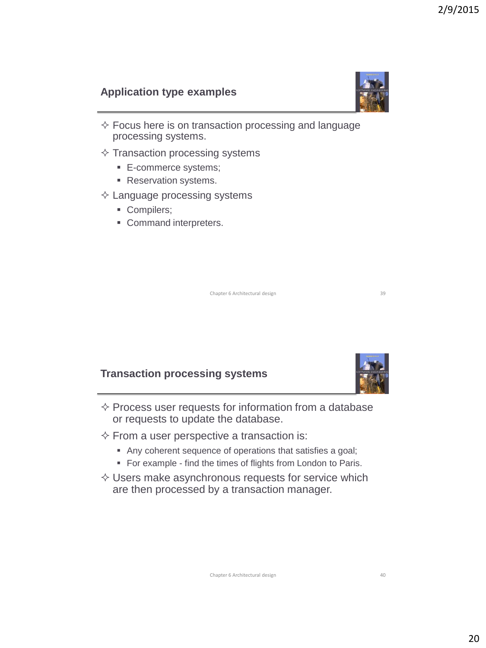# **Application type examples**

- $\Diamond$  Focus here is on transaction processing and language processing systems.
- $\diamond$  Transaction processing systems
	- E-commerce systems;
	- **Reservation systems.**

#### $\diamond$  Language processing systems

- Compilers;
- Command interpreters.

Chapter 6 Architectural design 39

# **Transaction processing systems**

- $\Diamond$  Process user requests for information from a database or requests to update the database.
- $\Diamond$  From a user perspective a transaction is:
	- Any coherent sequence of operations that satisfies a goal;
	- For example find the times of flights from London to Paris.
- $\diamond$  Users make asynchronous requests for service which are then processed by a transaction manager.



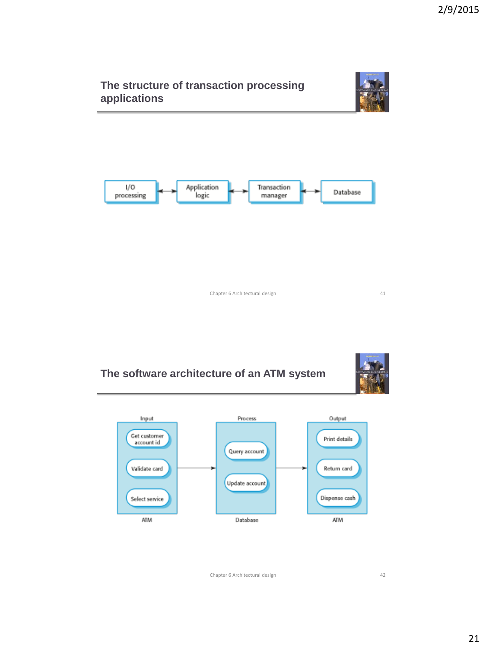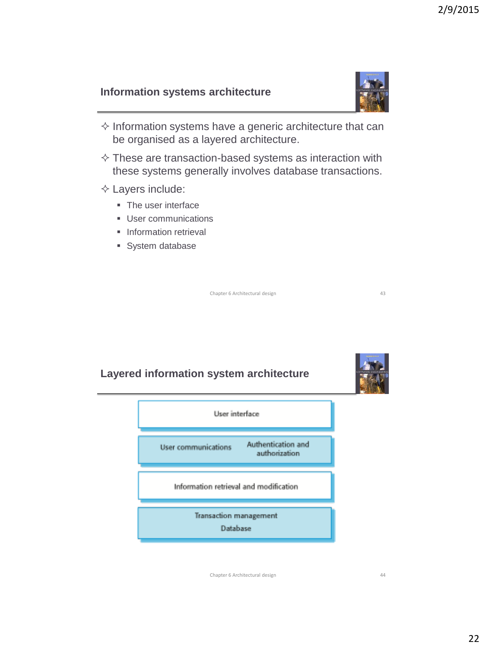### **Information systems architecture**



- $\Diamond$  Information systems have a generic architecture that can be organised as a layered architecture.
- $\diamond$  These are transaction-based systems as interaction with these systems generally involves database transactions.
- $\diamond$  Layers include:
	- **The user interface**
	- **User communications**
	- **Information retrieval**
	- **System database**

Chapter 6 Architectural design 43

## **Layered information system architecture**



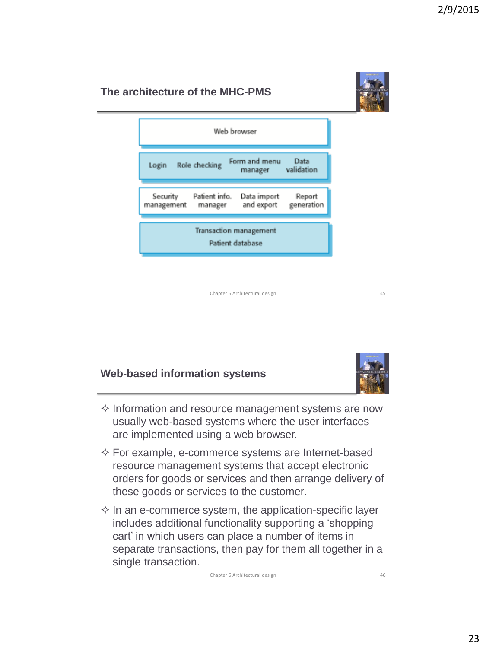# **The architecture of the MHC-PMS**



Chapter 6 Architectural design 45

#### **Web-based information systems**



- $\diamond$  Information and resource management systems are now usually web-based systems where the user interfaces are implemented using a web browser.
- $\Diamond$  For example, e-commerce systems are Internet-based resource management systems that accept electronic orders for goods or services and then arrange delivery of these goods or services to the customer*.*
- $\Diamond$  In an e-commerce system, the application-specific layer includes additional functionality supporting a 'shopping cart' in which users can place a number of items in separate transactions, then pay for them all together in a single transaction.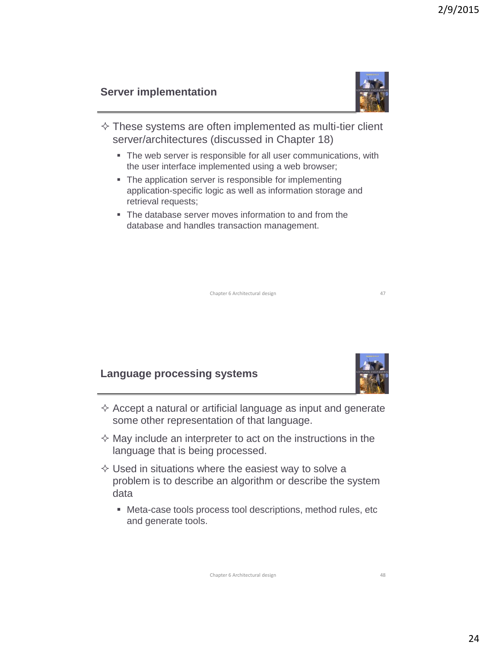## **Server implementation**

- $\diamond$  These systems are often implemented as multi-tier client server/architectures (discussed in Chapter 18)
	- The web server is responsible for all user communications, with the user interface implemented using a web browser;
	- **The application server is responsible for implementing** application-specific logic as well as information storage and retrieval requests:
	- The database server moves information to and from the database and handles transaction management.

Chapter 6 Architectural design 47

# **Language processing systems**

- $\Diamond$  Accept a natural or artificial language as input and generate some other representation of that language.
- $\Diamond$  May include an interpreter to act on the instructions in the language that is being processed.
- $\diamond$  Used in situations where the easiest way to solve a problem is to describe an algorithm or describe the system data
	- Meta-case tools process tool descriptions, method rules, etc and generate tools.





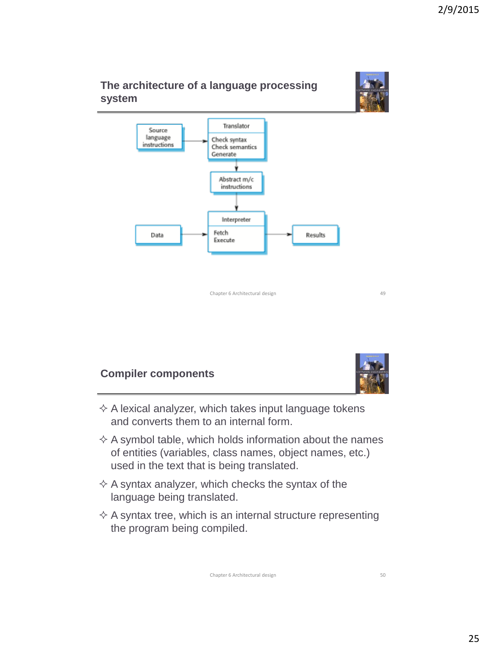





- $\Diamond$  A lexical analyzer, which takes input language tokens and converts them to an internal form.
- $\Diamond$  A symbol table, which holds information about the names of entities (variables, class names, object names, etc.) used in the text that is being translated.
- $\Diamond$  A syntax analyzer, which checks the syntax of the language being translated.
- $\Diamond$  A syntax tree, which is an internal structure representing the program being compiled.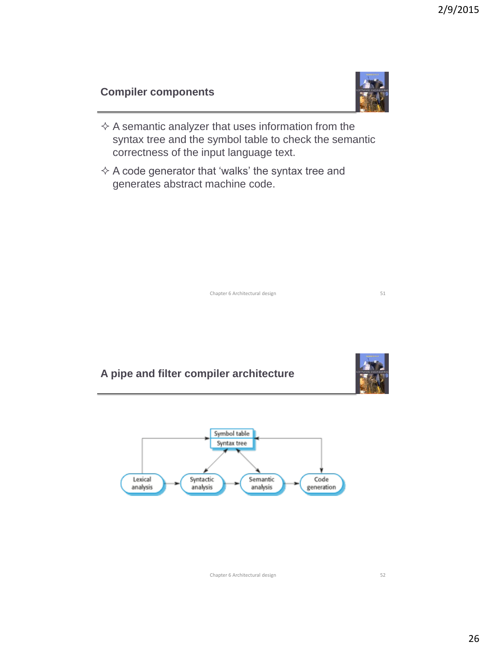# **Compiler components**

- $\Diamond$  A semantic analyzer that uses information from the syntax tree and the symbol table to check the semantic correctness of the input language text.
- $\Diamond$  A code generator that 'walks' the syntax tree and generates abstract machine code.



# **A pipe and filter compiler architecture**

analysis

analysis



Chapter 6 Architectural design 52

analysis

generation